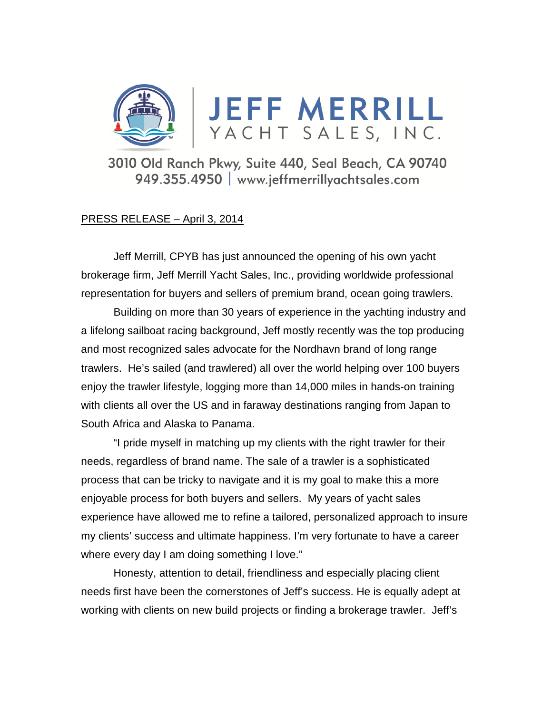

3010 Old Ranch Pkwy, Suite 440, Seal Beach, CA 90740 949.355.4950 | www.jeffmerrillyachtsales.com

## PRESS RELEASE – April 3, 2014

Jeff Merrill, CPYB has just announced the opening of his own yacht brokerage firm, Jeff Merrill Yacht Sales, Inc., providing worldwide professional representation for buyers and sellers of premium brand, ocean going trawlers.

 Building on more than 30 years of experience in the yachting industry and a lifelong sailboat racing background, Jeff mostly recently was the top producing and most recognized sales advocate for the Nordhavn brand of long range trawlers. He's sailed (and trawlered) all over the world helping over 100 buyers enjoy the trawler lifestyle, logging more than 14,000 miles in hands-on training with clients all over the US and in faraway destinations ranging from Japan to South Africa and Alaska to Panama.

 "I pride myself in matching up my clients with the right trawler for their needs, regardless of brand name. The sale of a trawler is a sophisticated process that can be tricky to navigate and it is my goal to make this a more enjoyable process for both buyers and sellers. My years of yacht sales experience have allowed me to refine a tailored, personalized approach to insure my clients' success and ultimate happiness. I'm very fortunate to have a career where every day I am doing something I love."

Honesty, attention to detail, friendliness and especially placing client needs first have been the cornerstones of Jeff's success. He is equally adept at working with clients on new build projects or finding a brokerage trawler. Jeff's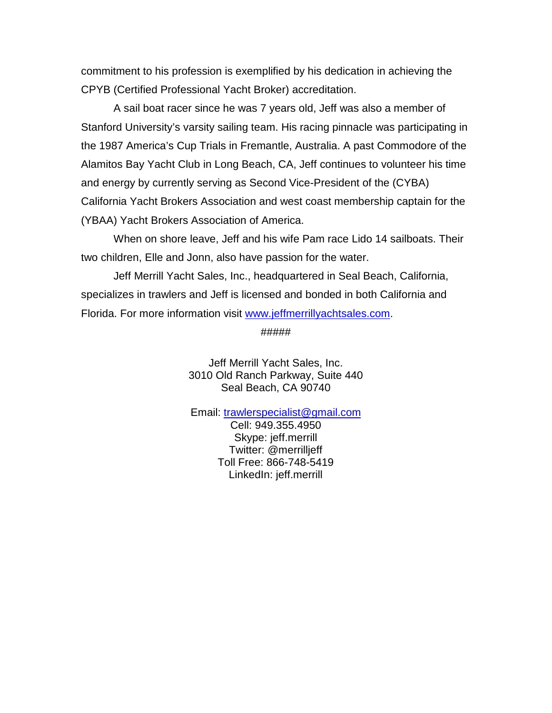commitment to his profession is exemplified by his dedication in achieving the CPYB (Certified Professional Yacht Broker) accreditation.

 A sail boat racer since he was 7 years old, Jeff was also a member of Stanford University's varsity sailing team. His racing pinnacle was participating in the 1987 America's Cup Trials in Fremantle, Australia. A past Commodore of the Alamitos Bay Yacht Club in Long Beach, CA, Jeff continues to volunteer his time and energy by currently serving as Second Vice-President of the (CYBA) California Yacht Brokers Association and west coast membership captain for the (YBAA) Yacht Brokers Association of America.

 When on shore leave, Jeff and his wife Pam race Lido 14 sailboats. Their two children, Elle and Jonn, also have passion for the water.

 Jeff Merrill Yacht Sales, Inc., headquartered in Seal Beach, California, specializes in trawlers and Jeff is licensed and bonded in both California and Florida. For more information visit www.jeffmerrillyachtsales.com.

#####

Jeff Merrill Yacht Sales, Inc. 3010 Old Ranch Parkway, Suite 440 Seal Beach, CA 90740

Email: trawlerspecialist@gmail.com

Cell: 949.355.4950 Skype: jeff.merrill Twitter: @merrilljeff Toll Free: 866-748-5419 LinkedIn: jeff.merrill